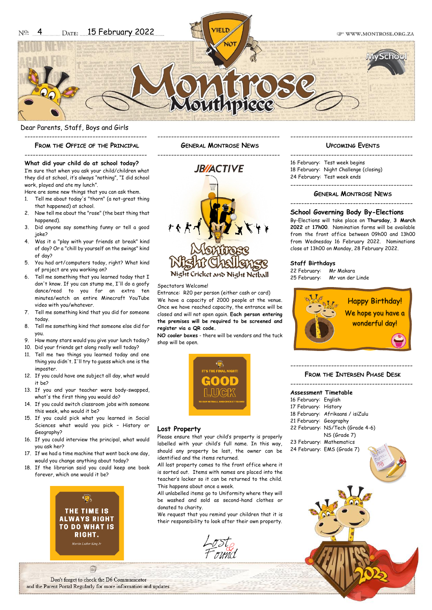#### Dear Parents, Staff, Boys and Girls

# --------------------------------------------- **FROM THE OFFICE OF THE PRINCIPAL** ---------------------------------------------

**What did your child do at school today?** I'm sure that when you ask your child/children what they did at school, it's always "nothing", "I did school

Here are some new things that you can ask them. 1. Tell me about today's "thorn" (a not-great thing

2. Now tell me about the "rose" (the best thing that

3. Did anyone say something funny or tell a good

4. Was it a "play with your friends at break" kind of day? Or a "chill by yourself on the swings" kind

5. You had art/computers today, right? What kind

6. Tell me something that you learned today that I don't know. If you can stump me, I'll do a goofy dance/read to you for an extra ten minutes/watch an entire Minecraft YouTube

7. Tell me something kind that you did for someone

8. Tell me something kind that someone else did for

9. How many stars would you give your lunch today? 10. Did your friends get along really well today? 11. Tell me two things you learned today and one thing you didn't. I'll try to guess which one is the

12. If you could have one subject all day, what would

13. If you and your teacher were body-swapped, what's the first thing you would do? 14. If you could switch classroom jobs with someone

of project are you working on?

video with you/whatever.

this week, who would it be?

work, played and ate my lunch".

that happened) at school.

hannened)

joke?

of day?

today.

you.

imposter.

Geography?

it be?

**GENERAL MONTROSE NEWS**

---------------------------------------------

---------------------------------------------

# **JB/ACTIVE** Night Cricket and Night Netball

#### Spectators Welcome!

Entrance: R20 per person (either cash or card) We have a capacity of 2000 people at the venue. Once we have reached capacity, the entrance will be closed and will not open again. **Each person entering the premises will be required to be screened and register via a QR code.**

**NO cooler boxes** - there will be vendors and the tuck shop will be open.



#### **Lost Property**

Please ensure that your child's property is properly labelled with your child's full name. In this way, should any property be lost, the owner can be identified and the items returned.

All lost property comes to the front office where it is sorted out. Items with names are placed into the teacher's locker so it can be returned to the child. This happens about once a week.

All unlabelled items go to Uniformity where they will be washed and sold as second-hand clothes or donated to charity.

We request that you remind your children that it is their responsibility to look after their own property.

#### --------------------------------------------- **UPCOMING EVENTS**

|  | 16 February: Test week begins<br>18 February: Night Challenge (closing)<br>24 February: Test week ends |
|--|--------------------------------------------------------------------------------------------------------|
|  |                                                                                                        |
|  |                                                                                                        |

#### **GENERAL MONTROSE NEWS**

#### ---------------------------------------------

#### **School Governing Body By-Elections**

By-Elections will take place on **Thursday**, **3 March 2022** at **17h00**. Nomination forms will be available from the front office between 09h00 and 13h00 from Wednesday 16 February 2022. Nominations close at 13h00 on Monday, 28 February 2022.

#### **Staff Birthdays**

22 February: Mr Makara 25 February: Mr van der Linde



#### --------------------------------------------- **FROM THE INTERSEN PHASE DESK**

| Assessment Timetable   |                                  |  |  |
|------------------------|----------------------------------|--|--|
| 16 February: English   |                                  |  |  |
| 17 February: History   |                                  |  |  |
|                        | 18 February: Afrikaans / isiZulu |  |  |
| 21 February: Geography |                                  |  |  |
|                        | 22 February: NS/Tech (Grade 4-6) |  |  |

NS (Grade 7)

- 23 February: Mathematics
- 24 February: EMS (Grade 7)

16. If you could interview the principal, what would you ask her?

15. If you could pick what you learned in Social Sciences what would you pick – History or

- 17. If we had a time machine that went back one day, would you change anything about today?
- 18. If the librarian said you could keep one book forever, which one would it be?



自 Don't forget to check the D6 Communicator and the Parent Portal Regularly for more information and updates.